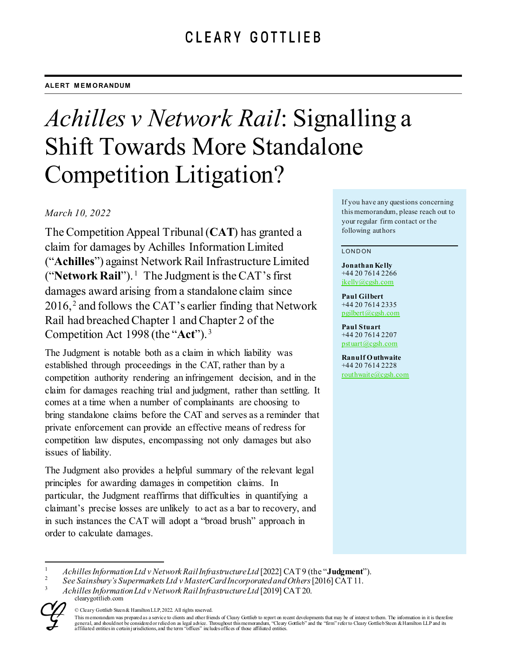#### **ALERT MEMORANDUM**

# *Achilles v Network Rail*: Signalling a Shift Towards More Standalone Competition Litigation?

## *March 10, 2022*

The Competition Appeal Tribunal (**CAT**) has granted a claim for damages by Achilles Information Limited ("**Achilles**") against Network Rail Infrastructure Limited ("**Network Rail**").<sup>[1](#page-0-0)</sup> The Judgment is the CAT's first damages award arising from a standalone claim since 2016, [2](#page-0-1) and follows the CAT's earlier finding that Network Rail had breached Chapter 1 and Chapter 2 of the Competition Act 1998 (the "**Act**"). [3](#page-0-2)

The Judgment is notable both as a claim in which liability was established through proceedings in the CAT, rather than by a competition authority rendering an infringement decision, and in the claim for damages reaching trial and judgment, rather than settling. It comes at a time when a number of complainants are choosing to bring standalone claims before the CAT and serves as a reminder that private enforcement can provide an effective means of redress for competition law disputes, encompassing not only damages but also issues of liability.

The Judgment also provides a helpful summary of the relevant legal principles for awarding damages in competition claims. In particular, the Judgment reaffirms that difficulties in quantifying a claimant's precise losses are unlikely to act as a bar to recovery, and in such instances the CAT will adopt a "broad brush" approach in order to calculate damages.

If you have any questions concerning this memorandum, please reach out to your regular firm contact or the following authors

#### LONDON

**Jonathan Kelly** +44 20 7614 2266 [jkelly@cgsh.com](mailto:jkelly@cgsh.com)

**Paul Gilbert** +44 20 7614 2335 [pgilbert@cgsh.com](mailto:pgilbert@cgsh.com)

**Paul Stuart** +44 20 7614 2207 [pstuart@cgsh.com](mailto:pstuart@cgsh.com)

**Ranulf O uthwaite** +44 20 7614 2228 [routhwaite@cgsh.com](mailto:routhwaite@cgsh.com)

<span id="page-0-2"></span><span id="page-0-1"></span>clearygottlieb.com <sup>3</sup> *AchillesInformation Ltd v Network Rail Infrastructure Ltd* [2019] CAT 20.



<sup>©</sup> Cleary Gottlieb Steen & Hamilton LLP, 2022. All rights reserved.

<span id="page-0-0"></span><sup>1</sup> *Achilles InformationLtd v Network Rail Infrastructure Ltd* [2022] CAT 9 (the "**Judgment**"). <sup>2</sup> *See Sainsbury's Supermarkets Ltd v MasterCard Incorporated and Others*[2016] CAT 11.

This memorandum was prepared as a service to clients and other friends of Cleary Gottlieb to report on recent developments that may be of interest to them. The information in it is therefore general, and should not be considered or relied on as legal advice. Throughout this memorandum, "Cleary Gottlieb" and the "firm" refer to Cleary Gottlieb Steen & Hamilton LLP and its<br>affiliated entities in certain jurisdic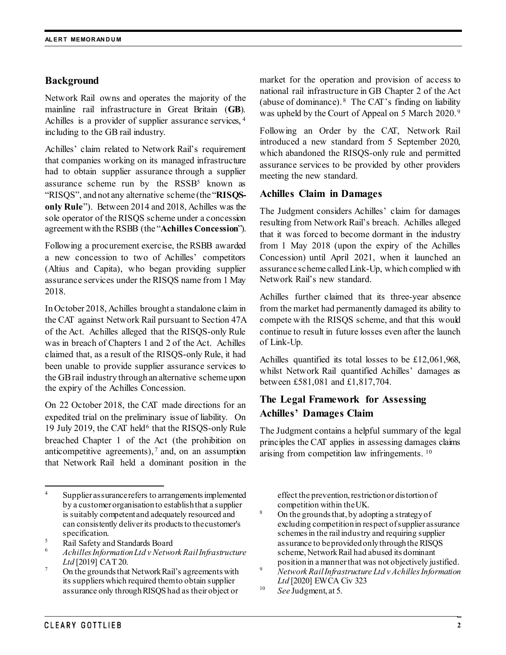## **Background**

Network Rail owns and operates the majority of the mainline rail infrastructure in Great Britain (**GB**). Achilles is a provider of supplier assurance services, [4](#page-1-0) including to the GB rail industry.

Achilles' claim related to Network Rail's requirement that companies working on its managed infrastructure had to obtain supplier assurance through a supplier assurance scheme run by the  $RSSB<sup>5</sup>$  known as "RISQS", and not any alternative scheme (the "**RISQSonly Rule**"). Between 2014 and 2018, Achilles was the sole operator of the RISQS scheme under a concession agreement with the RSBB (the "**Achilles Concession**").

Following a procurement exercise, the RSBB awarded a new concession to two of Achilles' competitors (Altius and Capita), who began providing supplier assurance services under the RISQS name from 1 May 2018.

In October 2018, Achilles brought a standalone claim in the CAT against Network Rail pursuant to Section 47A of the Act. Achilles alleged that the RISQS-only Rule was in breach of Chapters 1 and 2 of the Act. Achilles claimed that, as a result of the RISQS-only Rule, it had been unable to provide supplier assurance services to the GB rail industry through an alternative scheme upon the expiry of the Achilles Concession.

On 22 October 2018, the CAT made directions for an expedited trial on the preliminary issue of liability. On 19 July 2019, the CAT held<sup>[6](#page-1-2)</sup> that the RISOS-only Rule breached Chapter 1 of the Act (the prohibition on anticompetitive agreements),  $\frac{7}{1}$  $\frac{7}{1}$  $\frac{7}{1}$  and, on an assumption that Network Rail held a dominant position in the market for the operation and provision of access to national rail infrastructure in GB Chapter 2 of the Act (abuse of dominance). <sup>[8](#page-1-4)</sup> The CAT's finding on liability was upheld by the Court of Appeal on 5 March 2020. [9](#page-1-3)

Following an Order by the CAT, Network Rail introduced a new standard from 5 September 2020, which abandoned the RISQS-only rule and permitted assurance services to be provided by other providers meeting the new standard.

#### **Achilles Claim in Damages**

The Judgment considers Achilles' claim for damages resulting from Network Rail's breach. Achilles alleged that it was forced to become dormant in the industry from 1 May 2018 (upon the expiry of the Achilles Concession) until April 2021, when it launched an assurance scheme called Link-Up, which complied with Network Rail's new standard.

Achilles further claimed that its three-year absence from the market had permanently damaged its ability to compete with the RISQS scheme, and that this would continue to result in future losses even after the launch of Link-Up.

Achilles quantified its total losses to be £12,061,968, whilst Network Rail quantified Achilles' damages as between £581,081 and £1,817,704.

# **The Legal Framework for Assessing Achilles' Damages Claim**

The Judgment contains a helpful summary of the legal principles the CAT applies in assessing damages claims arising from competition law infringements. [10](#page-1-5)

effect the prevention, restriction or distortion of competition within the UK.

- <sup>8</sup> On the grounds that, by adopting a strategy of excluding competition in respect of supplier assurance schemes in the rail industry and requiring supplier assurance to be provided only through the RISQS scheme, Network Rail had abused its dominant
- positionin a manner that was not objectively justified. <sup>9</sup> *Network Rail Infrastructure Ltd v Achilles Information Ltd* [2020] EWCA Civ 323
- <sup>10</sup> *See* Judgment, at 5.

<span id="page-1-4"></span><span id="page-1-0"></span><sup>&</sup>lt;sup>4</sup> Supplier assurance refers to arrangements implemented by a customer organisation to establish that a supplier is suitably competent and adequately resourced and can consistently deliver its products to the customer's specification.

<span id="page-1-2"></span><span id="page-1-1"></span><sup>5</sup> Rail Safety and Standards Board <sup>6</sup> *AchillesInformation Ltd v Network Rail Infrastructure*  Ltd [2019] CAT 20.<br>On the grounds that Network Rail's agreements with

<span id="page-1-5"></span><span id="page-1-3"></span>its suppliers which required themto obtain supplier assurance only through RISQS had as their object or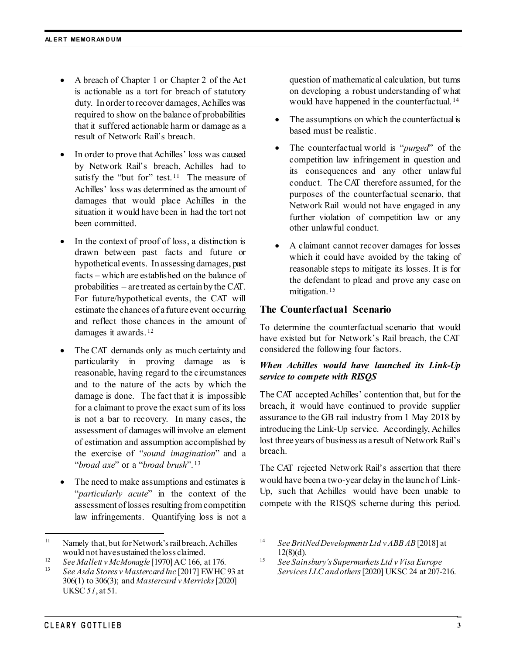- A breach of Chapter 1 or Chapter 2 of the Act is actionable as a tort for breach of statutory duty. In order to recover damages, Achilles was required to show on the balance of probabilities that it suffered actionable harm or damage as a result of Network Rail's breach.
- In order to prove that Achilles' loss was caused by Network Rail's breach, Achilles had to satisfy the "but for" test.<sup>11</sup> The measure of Achilles' loss was determined as the amount of damages that would place Achilles in the situation it would have been in had the tort not been committed.
- In the context of proof of loss, a distinction is drawn between past facts and future or hypothetical events. In assessing damages, past facts – which are established on the balance of probabilities – are treated as certain by the CAT. For future/hypothetical events, the CAT will estimate the chances of a future event occurring and reflect those chances in the amount of damages it awards. [12](#page-2-1)
- The CAT demands only as much certainty and particularity in proving damage as is reasonable, having regard to the circumstances and to the nature of the acts by which the damage is done. The fact that it is impossible for a claimant to prove the exact sum of its loss is not a bar to recovery. In many cases, the assessment of damages will involve an element of estimation and assumption accomplished by the exercise of "*sound imagination*" and a "*broad axe*" or a "*broad brush*". [13](#page-2-2)
- The need to make assumptions and estimates is "*particularly acute*" in the context of the assessment of losses resulting from competition law infringements. Quantifying loss is not a

question of mathematical calculation, but turns on developing a robust understanding of what would have happened in the counterfactual. [14](#page-2-0)

- The assumptions on which the counterfactual is based must be realistic.
- The counterfactual world is "*purged*" of the competition law infringement in question and its consequences and any other unlawful conduct. The CAT therefore assumed, for the purposes of the counterfactual scenario, that Network Rail would not have engaged in any further violation of competition law or any other unlawful conduct.
- A claimant cannot recover damages for losses which it could have avoided by the taking of reasonable steps to mitigate its losses. It is for the defendant to plead and prove any case on mitigation. [15](#page-2-1)

## **The Counterfactual Scenario**

To determine the counterfactual scenario that would have existed but for Network's Rail breach, the CAT considered the following four factors.

#### *When Achilles would have launched its Link-Up service to compete with RISQS*

The CAT accepted Achilles' contention that, but for the breach, it would have continued to provide supplier assurance to the GB rail industry from 1 May 2018 by introducing the Link-Up service. Accordingly, Achilles lost three years of business as a result of Network Rail's breach.

The CAT rejected Network Rail's assertion that there would have been a two-year delay in the launch of Link-Up, such that Achilles would have been unable to compete with the RISQS scheme during this period.

<span id="page-2-0"></span><sup>&</sup>lt;sup>11</sup> Namely that, but for Network's rail breach, Achilles would not have sustained the loss claimed.

<span id="page-2-2"></span><span id="page-2-1"></span><sup>&</sup>lt;sup>12</sup> *See Mallett v McMonagle* [1970] AC 166, at 176.<br><sup>13</sup> *See Asda Stores v Mastercard Inc* [2017] EWHC 93 at 306(1) to 306(3); and *Mastercard v Merricks*[2020] UKSC *51*, at 51.

<sup>14</sup> *See BritNed Developments Ltd v ABB AB* [2018] at  $12(8)(d)$ .

<sup>15</sup> *See Sainsbury's Supermarkets Ltd v Visa Europe Services LLC and others*[2020] UKSC 24 at 207-216.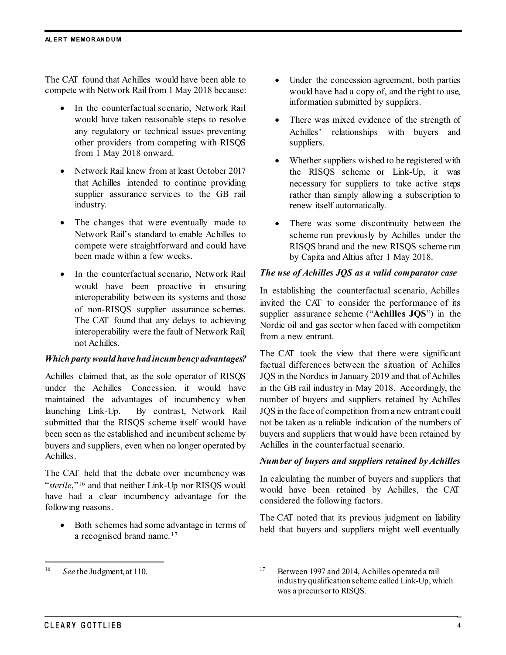The CAT found that Achilles would have been able to compete with Network Rail from 1 May 2018 because:

- In the counterfactual scenario, Network Rail would have taken reasonable steps to resolve any regulatory or technical issues preventing other providers from competing with RISQS from 1 May 2018 onward.
- Network Rail knew from at least October 2017 that Achilles intended to continue providing supplier assurance services to the GB rail industry.
- The changes that were eventually made to Network Rail's standard to enable Achilles to compete were straightforward and could have been made within a few weeks.
- In the counterfactual scenario, Network Rail would have been proactive in ensuring interoperability between its systems and those of non-RISQS supplier assurance schemes. The CAT found that any delays to achieving interoperability were the fault of Network Rail, not Achilles.

#### *Which party would have had incumbency advantages?*

Achilles claimed that, as the sole operator of RISQS under the Achilles Concession, it would have maintained the advantages of incumbency when launching Link-Up. By contrast, Network Rail submitted that the RISQS scheme itself would have been seen as the established and incumbent scheme by buyers and suppliers, even when no longer operated by Achilles.

The CAT held that the debate over incumbency was "*sterile*,"[16](#page-3-0) and that neither Link-Up nor RISQS would have had a clear incumbency advantage for the following reasons.

• Both schemes had some advantage in terms of a recognised brand name.<sup>[17](#page-3-0)</sup>

- Under the concession agreement, both parties would have had a copy of, and the right to use, information submitted by suppliers.
- There was mixed evidence of the strength of Achilles' relationships with buyers and suppliers.
- Whether suppliers wished to be registered with the RISQS scheme or Link-Up, it was necessary for suppliers to take active steps rather than simply allowing a subscription to renew itself automatically.
- There was some discontinuity between the scheme run previously by Achilles under the RISQS brand and the new RISQS scheme run by Capita and Altius after 1 May 2018.

#### *The use of Achilles JQS as a valid comparator case*

In establishing the counterfactual scenario, Achilles invited the CAT to consider the performance of its supplier assurance scheme ("**Achilles JQS**") in the Nordic oil and gas sector when faced with competition from a new entrant.

The CAT took the view that there were significant factual differences between the situation of Achilles JQS in the Nordics in January 2019 and that of Achilles in the GB rail industry in May 2018. Accordingly, the number of buyers and suppliers retained by Achilles JQS in the face of competition from a new entrant could not be taken as a reliable indication of the numbers of buyers and suppliers that would have been retained by Achilles in the counterfactual scenario.

#### *Number of buyers and suppliers retained by Achilles*

In calculating the number of buyers and suppliers that would have been retained by Achilles, the CAT considered the following factors.

The CAT noted that its previous judgment on liability held that buyers and suppliers might well eventually

<span id="page-3-0"></span> <sup>16</sup> *See* the Judgment, at 110.

<sup>&</sup>lt;sup>17</sup> Between 1997 and 2014, Achilles operated a rail industry qualification scheme called Link-Up, which was a precursor to RISQS.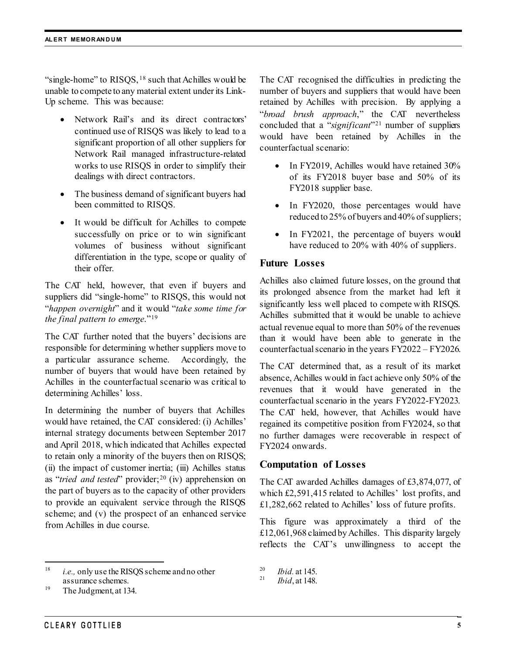"single-home" to  $RISOS$ ,  $18$  such that Achilles would be unable to compete to any material extent under its Link-Up scheme. This was because:

- Network Rail's and its direct contractors' continued use of RISQS was likely to lead to a significant proportion of all other suppliers for Network Rail managed infrastructure-related works to use RISQS in order to simplify their dealings with direct contractors.
- The business demand of significant buyers had been committed to RISQS.
- It would be difficult for Achilles to compete successfully on price or to win significant volumes of business without significant differentiation in the type, scope or quality of their offer.

The CAT held, however, that even if buyers and suppliers did "single-home" to RISQS, this would not "*happen overnight*" and it would "*take some time for the final pattern to emerge*."[19](#page-4-1)

The CAT further noted that the buyers' decisions are responsible for determining whether suppliers move to a particular assurance scheme. Accordingly, the number of buyers that would have been retained by Achilles in the counterfactual scenario was critical to determining Achilles' loss.

In determining the number of buyers that Achilles would have retained, the CAT considered: (i) Achilles' internal strategy documents between September 2017 and April 2018, which indicated that Achilles expected to retain only a minority of the buyers then on RISQS; (ii) the impact of customer inertia; (iii) Achilles status as "*tried and tested*" provider;<sup>[20](#page-4-0)</sup> (iv) apprehension on the part of buyers as to the capacity of other providers to provide an equivalent service through the RISQS scheme; and (v) the prospect of an enhanced service from Achilles in due course.

<span id="page-4-0"></span> 18 *i.e.,* only use the RISQS scheme and no other assurance schemes.

The CAT recognised the difficulties in predicting the number of buyers and suppliers that would have been retained by Achilles with precision. By applying a "*broad brush approach*," the CAT nevertheless concluded that a "*significant*"[21](#page-4-2) number of suppliers would have been retained by Achilles in the counterfactual scenario:

- In FY2019, Achilles would have retained 30% of its FY2018 buyer base and 50% of its FY2018 supplier base.
- In FY2020, those percentages would have reduced to 25% of buyers and 40% of suppliers;
- In FY2021, the percentage of buyers would have reduced to 20% with 40% of suppliers.

## **Future Losses**

Achilles also claimed future losses, on the ground that its prolonged absence from the market had left it significantly less well placed to compete with RISQS. Achilles submitted that it would be unable to achieve actual revenue equal to more than 50% of the revenues than it would have been able to generate in the counterfactual scenario in the years FY2022 – FY2026.

The CAT determined that, as a result of its market absence, Achilles would in fact achieve only 50% of the revenues that it would have generated in the counterfactual scenario in the years FY2022-FY2023. The CAT held, however, that Achilles would have regained its competitive position from FY2024, so that no further damages were recoverable in respect of FY2024 onwards.

#### **Computation of Losses**

The CAT awarded Achilles damages of £3,874,077, of which £2,591,415 related to Achilles' lost profits, and £1,282,662 related to Achilles' loss of future profits.

This figure was approximately a third of the £12,061,968 claimed by Achilles. This disparity largely reflects the CAT's unwillingness to accept the

<span id="page-4-2"></span><span id="page-4-1"></span><sup>&</sup>lt;sup>19</sup> The Judgment, at 134.

<sup>20</sup> *Ibid.* at 145. <sup>21</sup> *Ibid*, at 148.